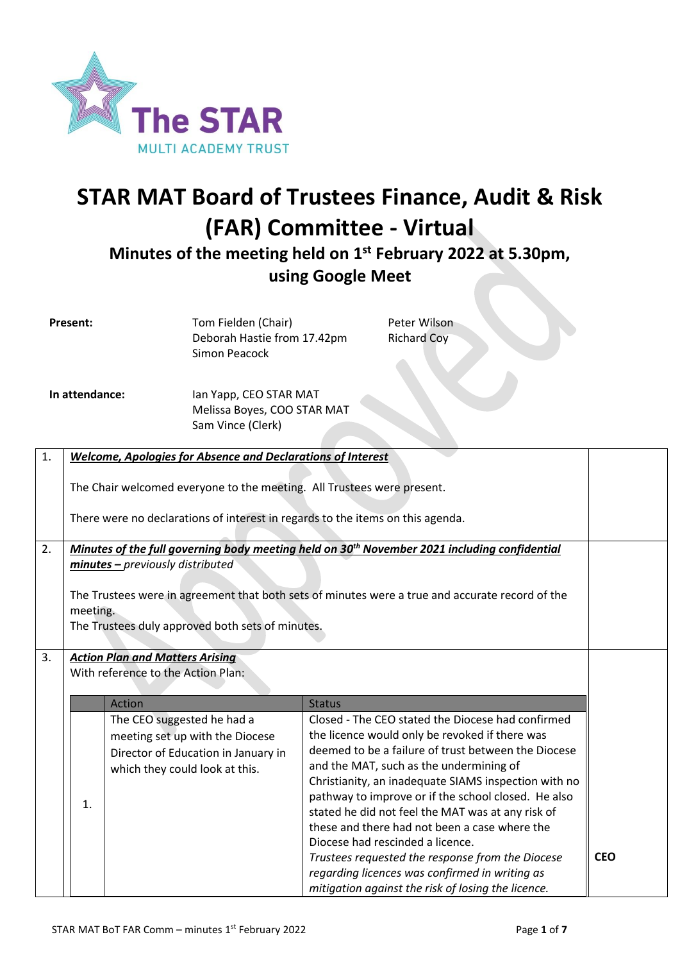

# **STAR MAT Board of Trustees Finance, Audit & Risk (FAR) Committee - Virtual**

**Minutes of the meeting held on 1 st February 2022 at 5.30pm, using Google Meet**

| <b>Present:</b> |                                                                                                             |                                        | Tom Fielden (Chair)<br>Deborah Hastie from 17.42pm<br><b>Simon Peacock</b>     |               | Peter Wilson<br><b>Richard Coy</b>                                                                       |  |            |
|-----------------|-------------------------------------------------------------------------------------------------------------|----------------------------------------|--------------------------------------------------------------------------------|---------------|----------------------------------------------------------------------------------------------------------|--|------------|
| In attendance:  |                                                                                                             |                                        | Ian Yapp, CEO STAR MAT<br>Melissa Boyes, COO STAR MAT<br>Sam Vince (Clerk)     |               |                                                                                                          |  |            |
| 1.              |                                                                                                             |                                        | <b>Welcome, Apologies for Absence and Declarations of Interest</b>             |               |                                                                                                          |  |            |
|                 | The Chair welcomed everyone to the meeting. All Trustees were present.                                      |                                        |                                                                                |               |                                                                                                          |  |            |
|                 |                                                                                                             |                                        | There were no declarations of interest in regards to the items on this agenda. |               |                                                                                                          |  |            |
| 2.              |                                                                                                             |                                        |                                                                                |               | Minutes of the full governing body meeting held on 30 <sup>th</sup> November 2021 including confidential |  |            |
|                 |                                                                                                             | minutes - previously distributed       |                                                                                |               |                                                                                                          |  |            |
|                 |                                                                                                             |                                        |                                                                                |               |                                                                                                          |  |            |
|                 | The Trustees were in agreement that both sets of minutes were a true and accurate record of the<br>meeting. |                                        |                                                                                |               |                                                                                                          |  |            |
|                 | The Trustees duly approved both sets of minutes.                                                            |                                        |                                                                                |               |                                                                                                          |  |            |
| 3.              |                                                                                                             | <b>Action Plan and Matters Arising</b> |                                                                                |               |                                                                                                          |  |            |
|                 |                                                                                                             | With reference to the Action Plan:     |                                                                                |               |                                                                                                          |  |            |
|                 |                                                                                                             | Action                                 |                                                                                | <b>Status</b> |                                                                                                          |  |            |
|                 |                                                                                                             | The CEO suggested he had a             |                                                                                |               | Closed - The CEO stated the Diocese had confirmed                                                        |  |            |
|                 |                                                                                                             |                                        | meeting set up with the Diocese                                                |               | the licence would only be revoked if there was                                                           |  |            |
|                 |                                                                                                             |                                        | Director of Education in January in                                            |               | deemed to be a failure of trust between the Diocese<br>and the MAT, such as the undermining of           |  |            |
|                 |                                                                                                             | which they could look at this.         |                                                                                |               | Christianity, an inadequate SIAMS inspection with no                                                     |  |            |
|                 | 1.                                                                                                          |                                        |                                                                                |               | pathway to improve or if the school closed. He also                                                      |  |            |
|                 |                                                                                                             |                                        |                                                                                |               | stated he did not feel the MAT was at any risk of                                                        |  |            |
|                 |                                                                                                             |                                        |                                                                                |               | these and there had not been a case where the<br>Diocese had rescinded a licence.                        |  |            |
|                 |                                                                                                             |                                        |                                                                                |               | Trustees requested the response from the Diocese                                                         |  | <b>CEO</b> |
|                 |                                                                                                             |                                        |                                                                                |               | regarding licences was confirmed in writing as                                                           |  |            |
|                 |                                                                                                             |                                        |                                                                                |               | mitigation against the risk of losing the licence.                                                       |  |            |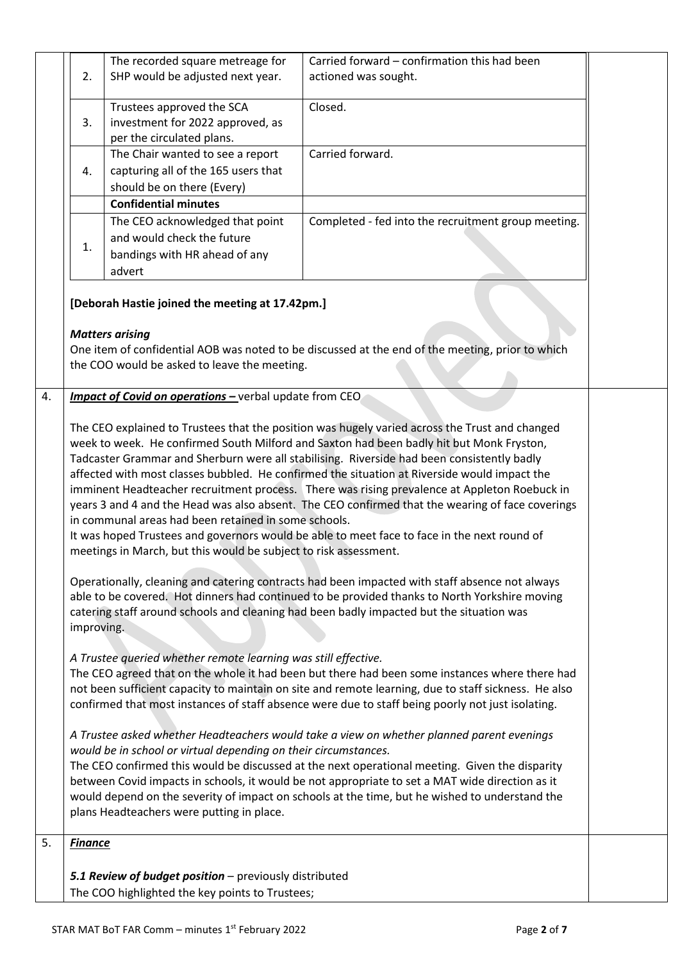|    |                                                                                                                                                                                                                                                                                                                                                                                                                                                                                                                                                                                                                                                                                                                                                                                                                                                                                                                                                                                                                                    | The recorded square metreage for                               | Carried forward - confirmation this had been                                                     |  |  |
|----|------------------------------------------------------------------------------------------------------------------------------------------------------------------------------------------------------------------------------------------------------------------------------------------------------------------------------------------------------------------------------------------------------------------------------------------------------------------------------------------------------------------------------------------------------------------------------------------------------------------------------------------------------------------------------------------------------------------------------------------------------------------------------------------------------------------------------------------------------------------------------------------------------------------------------------------------------------------------------------------------------------------------------------|----------------------------------------------------------------|--------------------------------------------------------------------------------------------------|--|--|
|    | 2.                                                                                                                                                                                                                                                                                                                                                                                                                                                                                                                                                                                                                                                                                                                                                                                                                                                                                                                                                                                                                                 | SHP would be adjusted next year.                               | actioned was sought.                                                                             |  |  |
|    |                                                                                                                                                                                                                                                                                                                                                                                                                                                                                                                                                                                                                                                                                                                                                                                                                                                                                                                                                                                                                                    |                                                                |                                                                                                  |  |  |
|    |                                                                                                                                                                                                                                                                                                                                                                                                                                                                                                                                                                                                                                                                                                                                                                                                                                                                                                                                                                                                                                    | Trustees approved the SCA                                      | Closed.                                                                                          |  |  |
|    | 3.                                                                                                                                                                                                                                                                                                                                                                                                                                                                                                                                                                                                                                                                                                                                                                                                                                                                                                                                                                                                                                 | investment for 2022 approved, as<br>per the circulated plans.  |                                                                                                  |  |  |
|    |                                                                                                                                                                                                                                                                                                                                                                                                                                                                                                                                                                                                                                                                                                                                                                                                                                                                                                                                                                                                                                    | The Chair wanted to see a report                               | Carried forward.                                                                                 |  |  |
|    | 4.                                                                                                                                                                                                                                                                                                                                                                                                                                                                                                                                                                                                                                                                                                                                                                                                                                                                                                                                                                                                                                 | capturing all of the 165 users that                            |                                                                                                  |  |  |
|    |                                                                                                                                                                                                                                                                                                                                                                                                                                                                                                                                                                                                                                                                                                                                                                                                                                                                                                                                                                                                                                    | should be on there (Every)                                     |                                                                                                  |  |  |
|    |                                                                                                                                                                                                                                                                                                                                                                                                                                                                                                                                                                                                                                                                                                                                                                                                                                                                                                                                                                                                                                    | <b>Confidential minutes</b>                                    |                                                                                                  |  |  |
|    |                                                                                                                                                                                                                                                                                                                                                                                                                                                                                                                                                                                                                                                                                                                                                                                                                                                                                                                                                                                                                                    |                                                                |                                                                                                  |  |  |
|    |                                                                                                                                                                                                                                                                                                                                                                                                                                                                                                                                                                                                                                                                                                                                                                                                                                                                                                                                                                                                                                    | The CEO acknowledged that point<br>and would check the future  | Completed - fed into the recruitment group meeting.                                              |  |  |
|    | 1.                                                                                                                                                                                                                                                                                                                                                                                                                                                                                                                                                                                                                                                                                                                                                                                                                                                                                                                                                                                                                                 |                                                                |                                                                                                  |  |  |
|    |                                                                                                                                                                                                                                                                                                                                                                                                                                                                                                                                                                                                                                                                                                                                                                                                                                                                                                                                                                                                                                    | bandings with HR ahead of any                                  |                                                                                                  |  |  |
|    |                                                                                                                                                                                                                                                                                                                                                                                                                                                                                                                                                                                                                                                                                                                                                                                                                                                                                                                                                                                                                                    | advert                                                         |                                                                                                  |  |  |
|    | [Deborah Hastie joined the meeting at 17.42pm.]<br><b>Matters arising</b>                                                                                                                                                                                                                                                                                                                                                                                                                                                                                                                                                                                                                                                                                                                                                                                                                                                                                                                                                          |                                                                |                                                                                                  |  |  |
|    |                                                                                                                                                                                                                                                                                                                                                                                                                                                                                                                                                                                                                                                                                                                                                                                                                                                                                                                                                                                                                                    |                                                                | One item of confidential AOB was noted to be discussed at the end of the meeting, prior to which |  |  |
|    |                                                                                                                                                                                                                                                                                                                                                                                                                                                                                                                                                                                                                                                                                                                                                                                                                                                                                                                                                                                                                                    | the COO would be asked to leave the meeting.                   |                                                                                                  |  |  |
|    |                                                                                                                                                                                                                                                                                                                                                                                                                                                                                                                                                                                                                                                                                                                                                                                                                                                                                                                                                                                                                                    |                                                                |                                                                                                  |  |  |
| 4. |                                                                                                                                                                                                                                                                                                                                                                                                                                                                                                                                                                                                                                                                                                                                                                                                                                                                                                                                                                                                                                    | <b>Impact of Covid on operations - verbal update from CEO</b>  |                                                                                                  |  |  |
|    | week to week. He confirmed South Milford and Saxton had been badly hit but Monk Fryston,<br>Tadcaster Grammar and Sherburn were all stabilising. Riverside had been consistently badly<br>affected with most classes bubbled. He confirmed the situation at Riverside would impact the<br>imminent Headteacher recruitment process. There was rising prevalence at Appleton Roebuck in<br>years 3 and 4 and the Head was also absent. The CEO confirmed that the wearing of face coverings<br>in communal areas had been retained in some schools.<br>It was hoped Trustees and governors would be able to meet face to face in the next round of<br>meetings in March, but this would be subject to risk assessment.<br>Operationally, cleaning and catering contracts had been impacted with staff absence not always<br>able to be covered. Hot dinners had continued to be provided thanks to North Yorkshire moving<br>catering staff around schools and cleaning had been badly impacted but the situation was<br>improving. |                                                                |                                                                                                  |  |  |
|    |                                                                                                                                                                                                                                                                                                                                                                                                                                                                                                                                                                                                                                                                                                                                                                                                                                                                                                                                                                                                                                    | A Trustee queried whether remote learning was still effective. |                                                                                                  |  |  |
|    |                                                                                                                                                                                                                                                                                                                                                                                                                                                                                                                                                                                                                                                                                                                                                                                                                                                                                                                                                                                                                                    |                                                                | The CEO agreed that on the whole it had been but there had been some instances where there had   |  |  |
|    | not been sufficient capacity to maintain on site and remote learning, due to staff sickness. He also                                                                                                                                                                                                                                                                                                                                                                                                                                                                                                                                                                                                                                                                                                                                                                                                                                                                                                                               |                                                                |                                                                                                  |  |  |
|    | confirmed that most instances of staff absence were due to staff being poorly not just isolating.                                                                                                                                                                                                                                                                                                                                                                                                                                                                                                                                                                                                                                                                                                                                                                                                                                                                                                                                  |                                                                |                                                                                                  |  |  |
|    | A Trustee asked whether Headteachers would take a view on whether planned parent evenings<br>would be in school or virtual depending on their circumstances.<br>The CEO confirmed this would be discussed at the next operational meeting. Given the disparity<br>between Covid impacts in schools, it would be not appropriate to set a MAT wide direction as it<br>would depend on the severity of impact on schools at the time, but he wished to understand the<br>plans Headteachers were putting in place.                                                                                                                                                                                                                                                                                                                                                                                                                                                                                                                   |                                                                |                                                                                                  |  |  |
|    |                                                                                                                                                                                                                                                                                                                                                                                                                                                                                                                                                                                                                                                                                                                                                                                                                                                                                                                                                                                                                                    |                                                                |                                                                                                  |  |  |
| 5. | <b>Finance</b>                                                                                                                                                                                                                                                                                                                                                                                                                                                                                                                                                                                                                                                                                                                                                                                                                                                                                                                                                                                                                     |                                                                |                                                                                                  |  |  |
|    |                                                                                                                                                                                                                                                                                                                                                                                                                                                                                                                                                                                                                                                                                                                                                                                                                                                                                                                                                                                                                                    |                                                                |                                                                                                  |  |  |
|    |                                                                                                                                                                                                                                                                                                                                                                                                                                                                                                                                                                                                                                                                                                                                                                                                                                                                                                                                                                                                                                    | 5.1 Review of budget position - previously distributed         |                                                                                                  |  |  |
|    |                                                                                                                                                                                                                                                                                                                                                                                                                                                                                                                                                                                                                                                                                                                                                                                                                                                                                                                                                                                                                                    | The COO highlighted the key points to Trustees;                |                                                                                                  |  |  |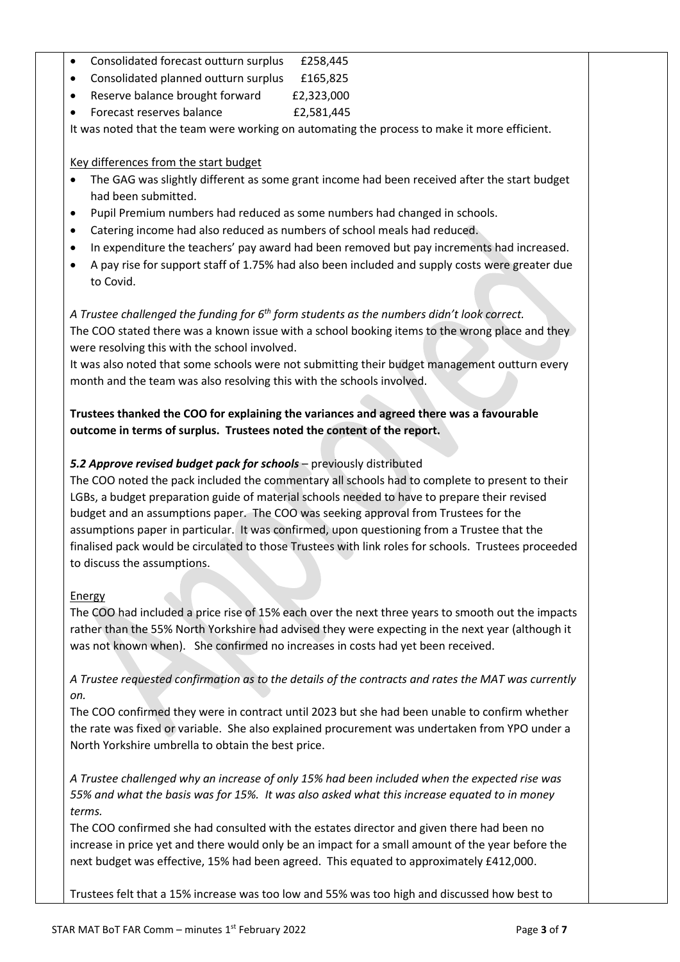- Consolidated forecast outturn surplus £258,445
- Consolidated planned outturn surplus £165,825
- Reserve balance brought forward £2,323,000
- Forecast reserves balance £2,581,445

It was noted that the team were working on automating the process to make it more efficient.

#### Key differences from the start budget

- The GAG was slightly different as some grant income had been received after the start budget had been submitted.
- Pupil Premium numbers had reduced as some numbers had changed in schools.
- Catering income had also reduced as numbers of school meals had reduced.
- In expenditure the teachers' pay award had been removed but pay increments had increased.
- A pay rise for support staff of 1.75% had also been included and supply costs were greater due to Covid.

*A Trustee challenged the funding for 6th form students as the numbers didn't look correct.* The COO stated there was a known issue with a school booking items to the wrong place and they were resolving this with the school involved.

It was also noted that some schools were not submitting their budget management outturn every month and the team was also resolving this with the schools involved.

### **Trustees thanked the COO for explaining the variances and agreed there was a favourable outcome in terms of surplus. Trustees noted the content of the report.**

#### 5.2 Approve revised budget pack for schools – previously distributed

The COO noted the pack included the commentary all schools had to complete to present to their LGBs, a budget preparation guide of material schools needed to have to prepare their revised budget and an assumptions paper. The COO was seeking approval from Trustees for the assumptions paper in particular. It was confirmed, upon questioning from a Trustee that the finalised pack would be circulated to those Trustees with link roles for schools. Trustees proceeded to discuss the assumptions.

#### Energy

The COO had included a price rise of 15% each over the next three years to smooth out the impacts rather than the 55% North Yorkshire had advised they were expecting in the next year (although it was not known when). She confirmed no increases in costs had yet been received.

*A Trustee requested confirmation as to the details of the contracts and rates the MAT was currently on.*

The COO confirmed they were in contract until 2023 but she had been unable to confirm whether the rate was fixed or variable. She also explained procurement was undertaken from YPO under a North Yorkshire umbrella to obtain the best price.

*A Trustee challenged why an increase of only 15% had been included when the expected rise was 55% and what the basis was for 15%. It was also asked what this increase equated to in money terms.*

The COO confirmed she had consulted with the estates director and given there had been no increase in price yet and there would only be an impact for a small amount of the year before the next budget was effective, 15% had been agreed. This equated to approximately £412,000.

Trustees felt that a 15% increase was too low and 55% was too high and discussed how best to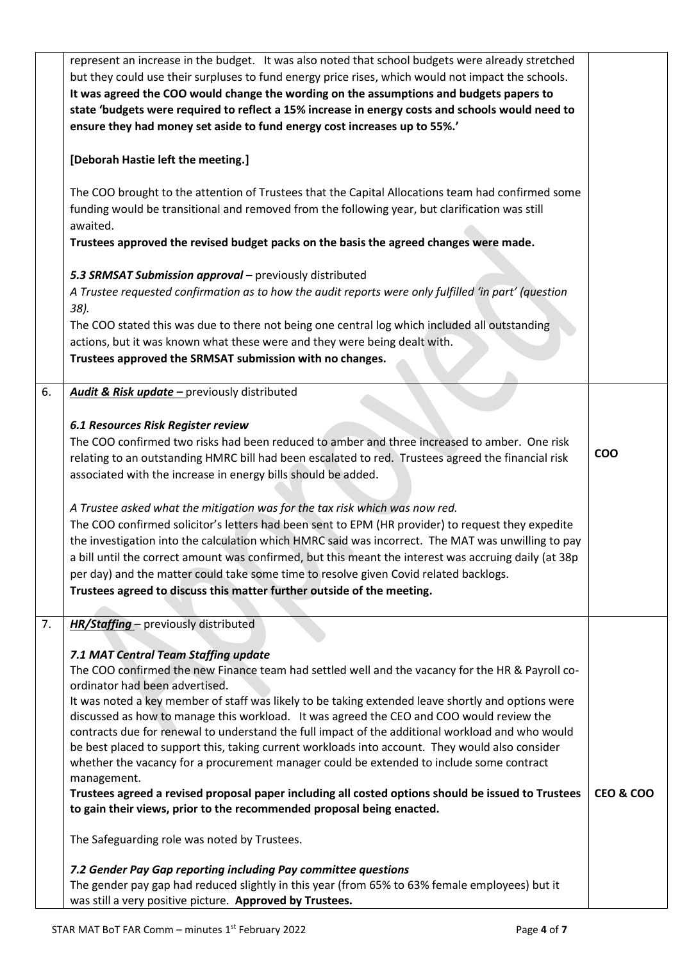|    | represent an increase in the budget. It was also noted that school budgets were already stretched     |                      |  |
|----|-------------------------------------------------------------------------------------------------------|----------------------|--|
|    | but they could use their surpluses to fund energy price rises, which would not impact the schools.    |                      |  |
|    | It was agreed the COO would change the wording on the assumptions and budgets papers to               |                      |  |
|    | state 'budgets were required to reflect a 15% increase in energy costs and schools would need to      |                      |  |
|    | ensure they had money set aside to fund energy cost increases up to 55%.'                             |                      |  |
|    |                                                                                                       |                      |  |
|    | [Deborah Hastie left the meeting.]                                                                    |                      |  |
|    |                                                                                                       |                      |  |
|    | The COO brought to the attention of Trustees that the Capital Allocations team had confirmed some     |                      |  |
|    | funding would be transitional and removed from the following year, but clarification was still        |                      |  |
|    | awaited.                                                                                              |                      |  |
|    | Trustees approved the revised budget packs on the basis the agreed changes were made.                 |                      |  |
|    | 5.3 SRMSAT Submission approval - previously distributed                                               |                      |  |
|    | A Trustee requested confirmation as to how the audit reports were only fulfilled 'in part' (question  |                      |  |
|    | 38).                                                                                                  |                      |  |
|    | The COO stated this was due to there not being one central log which included all outstanding         |                      |  |
|    | actions, but it was known what these were and they were being dealt with.                             |                      |  |
|    | Trustees approved the SRMSAT submission with no changes.                                              |                      |  |
|    |                                                                                                       |                      |  |
| 6. | Audit & Risk update - previously distributed                                                          |                      |  |
|    |                                                                                                       |                      |  |
|    | 6.1 Resources Risk Register review                                                                    |                      |  |
|    | The COO confirmed two risks had been reduced to amber and three increased to amber. One risk          |                      |  |
|    | relating to an outstanding HMRC bill had been escalated to red. Trustees agreed the financial risk    | <b>COO</b>           |  |
|    | associated with the increase in energy bills should be added.                                         |                      |  |
|    |                                                                                                       |                      |  |
|    | A Trustee asked what the mitigation was for the tax risk which was now red.                           |                      |  |
|    | The COO confirmed solicitor's letters had been sent to EPM (HR provider) to request they expedite     |                      |  |
|    | the investigation into the calculation which HMRC said was incorrect. The MAT was unwilling to pay    |                      |  |
|    | a bill until the correct amount was confirmed, but this meant the interest was accruing daily (at 38p |                      |  |
|    | per day) and the matter could take some time to resolve given Covid related backlogs.                 |                      |  |
|    | Trustees agreed to discuss this matter further outside of the meeting.                                |                      |  |
|    |                                                                                                       |                      |  |
| 7. | HR/Staffing - previously distributed                                                                  |                      |  |
|    |                                                                                                       |                      |  |
|    | 7.1 MAT Central Team Staffing update                                                                  |                      |  |
|    | The COO confirmed the new Finance team had settled well and the vacancy for the HR & Payroll co-      |                      |  |
|    | ordinator had been advertised.                                                                        |                      |  |
|    | It was noted a key member of staff was likely to be taking extended leave shortly and options were    |                      |  |
|    | discussed as how to manage this workload. It was agreed the CEO and COO would review the              |                      |  |
|    | contracts due for renewal to understand the full impact of the additional workload and who would      |                      |  |
|    | be best placed to support this, taking current workloads into account. They would also consider       |                      |  |
|    | whether the vacancy for a procurement manager could be extended to include some contract              |                      |  |
|    | management.                                                                                           |                      |  |
|    | Trustees agreed a revised proposal paper including all costed options should be issued to Trustees    | <b>CEO &amp; COO</b> |  |
|    | to gain their views, prior to the recommended proposal being enacted.                                 |                      |  |
|    | The Safeguarding role was noted by Trustees.                                                          |                      |  |
|    | 7.2 Gender Pay Gap reporting including Pay committee questions                                        |                      |  |
|    | The gender pay gap had reduced slightly in this year (from 65% to 63% female employees) but it        |                      |  |
|    | was still a very positive picture. Approved by Trustees.                                              |                      |  |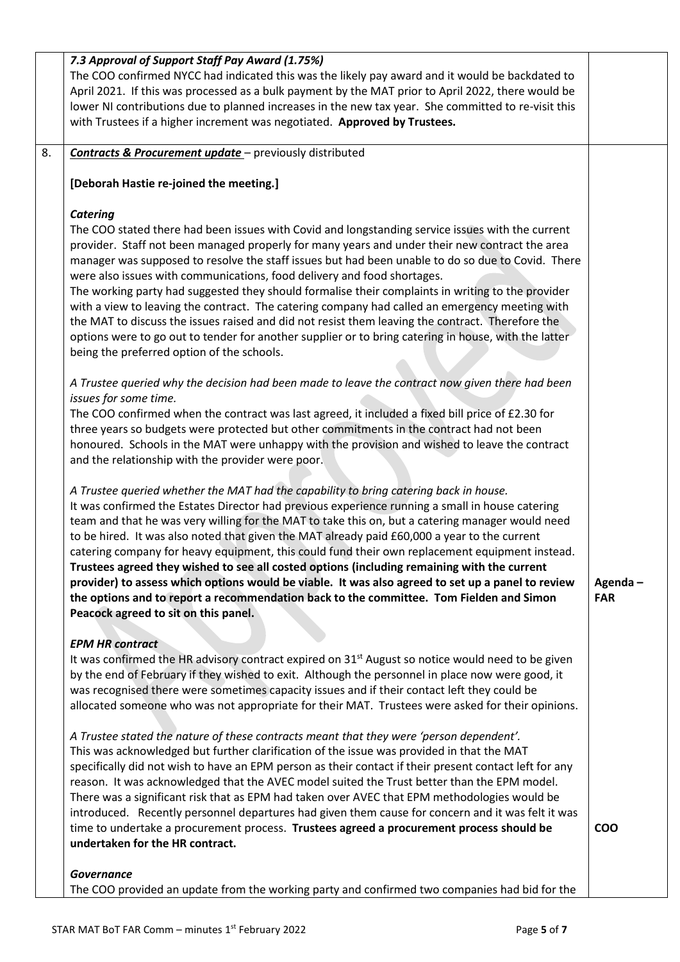|    | 7.3 Approval of Support Staff Pay Award (1.75%)<br>The COO confirmed NYCC had indicated this was the likely pay award and it would be backdated to<br>April 2021. If this was processed as a bulk payment by the MAT prior to April 2022, there would be<br>lower NI contributions due to planned increases in the new tax year. She committed to re-visit this<br>with Trustees if a higher increment was negotiated. Approved by Trustees.                                                                                                                                                                                                                                                                                                                                                                                                                           |                       |
|----|------------------------------------------------------------------------------------------------------------------------------------------------------------------------------------------------------------------------------------------------------------------------------------------------------------------------------------------------------------------------------------------------------------------------------------------------------------------------------------------------------------------------------------------------------------------------------------------------------------------------------------------------------------------------------------------------------------------------------------------------------------------------------------------------------------------------------------------------------------------------|-----------------------|
| 8. | Contracts & Procurement update - previously distributed                                                                                                                                                                                                                                                                                                                                                                                                                                                                                                                                                                                                                                                                                                                                                                                                                |                       |
|    | [Deborah Hastie re-joined the meeting.]                                                                                                                                                                                                                                                                                                                                                                                                                                                                                                                                                                                                                                                                                                                                                                                                                                |                       |
|    | <b>Catering</b><br>The COO stated there had been issues with Covid and longstanding service issues with the current<br>provider. Staff not been managed properly for many years and under their new contract the area<br>manager was supposed to resolve the staff issues but had been unable to do so due to Covid. There<br>were also issues with communications, food delivery and food shortages.<br>The working party had suggested they should formalise their complaints in writing to the provider<br>with a view to leaving the contract. The catering company had called an emergency meeting with<br>the MAT to discuss the issues raised and did not resist them leaving the contract. Therefore the<br>options were to go out to tender for another supplier or to bring catering in house, with the latter<br>being the preferred option of the schools. |                       |
|    | A Trustee queried why the decision had been made to leave the contract now given there had been<br>issues for some time.<br>The COO confirmed when the contract was last agreed, it included a fixed bill price of £2.30 for<br>three years so budgets were protected but other commitments in the contract had not been<br>honoured. Schools in the MAT were unhappy with the provision and wished to leave the contract<br>and the relationship with the provider were poor.                                                                                                                                                                                                                                                                                                                                                                                         |                       |
|    | A Trustee queried whether the MAT had the capability to bring catering back in house.<br>It was confirmed the Estates Director had previous experience running a small in house catering<br>team and that he was very willing for the MAT to take this on, but a catering manager would need<br>to be hired. It was also noted that given the MAT already paid £60,000 a year to the current<br>catering company for heavy equipment, this could fund their own replacement equipment instead.<br>Trustees agreed they wished to see all costed options (including remaining with the current<br>provider) to assess which options would be viable. It was also agreed to set up a panel to review<br>the options and to report a recommendation back to the committee. Tom Fielden and Simon<br>Peacock agreed to sit on this panel.                                  | Agenda-<br><b>FAR</b> |
|    | <b>EPM HR contract</b><br>It was confirmed the HR advisory contract expired on 31 <sup>st</sup> August so notice would need to be given<br>by the end of February if they wished to exit. Although the personnel in place now were good, it<br>was recognised there were sometimes capacity issues and if their contact left they could be<br>allocated someone who was not appropriate for their MAT. Trustees were asked for their opinions.                                                                                                                                                                                                                                                                                                                                                                                                                         |                       |
|    | A Trustee stated the nature of these contracts meant that they were 'person dependent'.<br>This was acknowledged but further clarification of the issue was provided in that the MAT<br>specifically did not wish to have an EPM person as their contact if their present contact left for any<br>reason. It was acknowledged that the AVEC model suited the Trust better than the EPM model.<br>There was a significant risk that as EPM had taken over AVEC that EPM methodologies would be<br>introduced. Recently personnel departures had given them cause for concern and it was felt it was<br>time to undertake a procurement process. Trustees agreed a procurement process should be<br>undertaken for the HR contract.                                                                                                                                      | <b>COO</b>            |
|    | <b>Governance</b><br>The COO provided an update from the working party and confirmed two companies had bid for the                                                                                                                                                                                                                                                                                                                                                                                                                                                                                                                                                                                                                                                                                                                                                     |                       |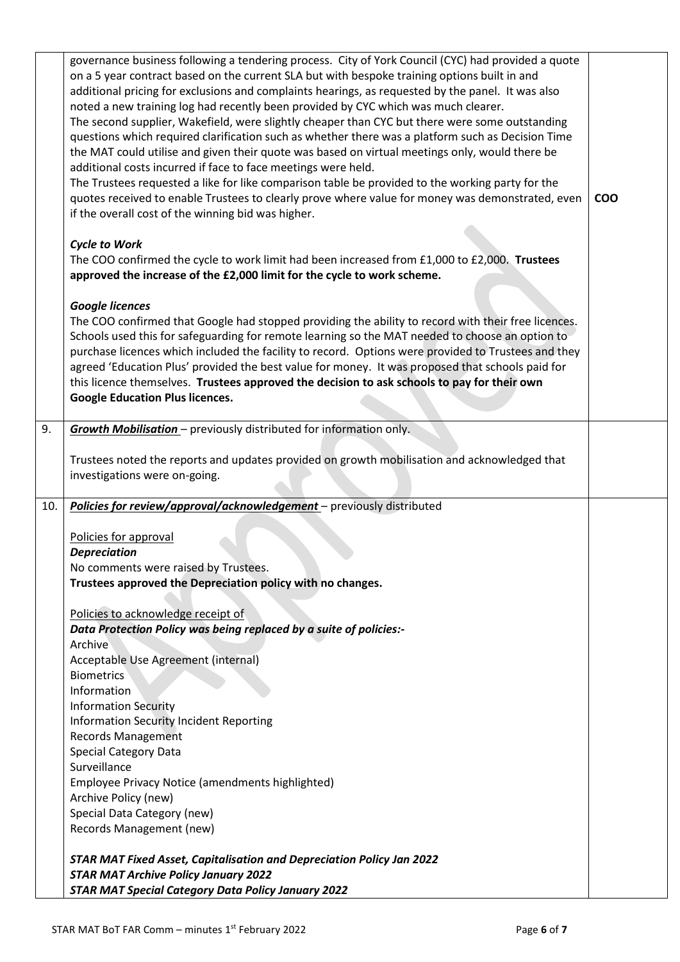|     | governance business following a tendering process. City of York Council (CYC) had provided a quote<br>on a 5 year contract based on the current SLA but with bespoke training options built in and |            |
|-----|----------------------------------------------------------------------------------------------------------------------------------------------------------------------------------------------------|------------|
|     | additional pricing for exclusions and complaints hearings, as requested by the panel. It was also                                                                                                  |            |
|     | noted a new training log had recently been provided by CYC which was much clearer.<br>The second supplier, Wakefield, were slightly cheaper than CYC but there were some outstanding               |            |
|     | questions which required clarification such as whether there was a platform such as Decision Time                                                                                                  |            |
|     | the MAT could utilise and given their quote was based on virtual meetings only, would there be                                                                                                     |            |
|     | additional costs incurred if face to face meetings were held.                                                                                                                                      |            |
|     | The Trustees requested a like for like comparison table be provided to the working party for the                                                                                                   |            |
|     | quotes received to enable Trustees to clearly prove where value for money was demonstrated, even<br>if the overall cost of the winning bid was higher.                                             | <b>COO</b> |
|     | <b>Cycle to Work</b>                                                                                                                                                                               |            |
|     | The COO confirmed the cycle to work limit had been increased from £1,000 to £2,000. Trustees                                                                                                       |            |
|     | approved the increase of the £2,000 limit for the cycle to work scheme.                                                                                                                            |            |
|     |                                                                                                                                                                                                    |            |
|     | <b>Google licences</b>                                                                                                                                                                             |            |
|     | The COO confirmed that Google had stopped providing the ability to record with their free licences.                                                                                                |            |
|     | Schools used this for safeguarding for remote learning so the MAT needed to choose an option to                                                                                                    |            |
|     | purchase licences which included the facility to record. Options were provided to Trustees and they                                                                                                |            |
|     | agreed 'Education Plus' provided the best value for money. It was proposed that schools paid for                                                                                                   |            |
|     | this licence themselves. Trustees approved the decision to ask schools to pay for their own                                                                                                        |            |
|     | <b>Google Education Plus licences.</b>                                                                                                                                                             |            |
| 9.  | Growth Mobilisation - previously distributed for information only.                                                                                                                                 |            |
|     |                                                                                                                                                                                                    |            |
|     | Trustees noted the reports and updates provided on growth mobilisation and acknowledged that<br>investigations were on-going.                                                                      |            |
|     |                                                                                                                                                                                                    |            |
| 10. | Policies for review/approval/acknowledgement - previously distributed                                                                                                                              |            |
|     |                                                                                                                                                                                                    |            |
|     | Policies for approval                                                                                                                                                                              |            |
|     | <b>Depreciation</b>                                                                                                                                                                                |            |
|     | No comments were raised by Trustees.<br>Trustees approved the Depreciation policy with no changes.                                                                                                 |            |
|     |                                                                                                                                                                                                    |            |
|     | Policies to acknowledge receipt of                                                                                                                                                                 |            |
|     | Data Protection Policy was being replaced by a suite of policies:-                                                                                                                                 |            |
|     | Archive                                                                                                                                                                                            |            |
|     | Acceptable Use Agreement (internal)                                                                                                                                                                |            |
|     | <b>Biometrics</b>                                                                                                                                                                                  |            |
|     | Information                                                                                                                                                                                        |            |
|     | <b>Information Security</b>                                                                                                                                                                        |            |
|     | <b>Information Security Incident Reporting</b><br><b>Records Management</b>                                                                                                                        |            |
|     | <b>Special Category Data</b>                                                                                                                                                                       |            |
|     | Surveillance                                                                                                                                                                                       |            |
|     | Employee Privacy Notice (amendments highlighted)                                                                                                                                                   |            |
|     | Archive Policy (new)                                                                                                                                                                               |            |
|     | Special Data Category (new)                                                                                                                                                                        |            |
|     | Records Management (new)                                                                                                                                                                           |            |
|     | STAR MAT Fixed Asset, Capitalisation and Depreciation Policy Jan 2022                                                                                                                              |            |
|     | <b>STAR MAT Archive Policy January 2022</b>                                                                                                                                                        |            |
|     | <b>STAR MAT Special Category Data Policy January 2022</b>                                                                                                                                          |            |
|     |                                                                                                                                                                                                    |            |